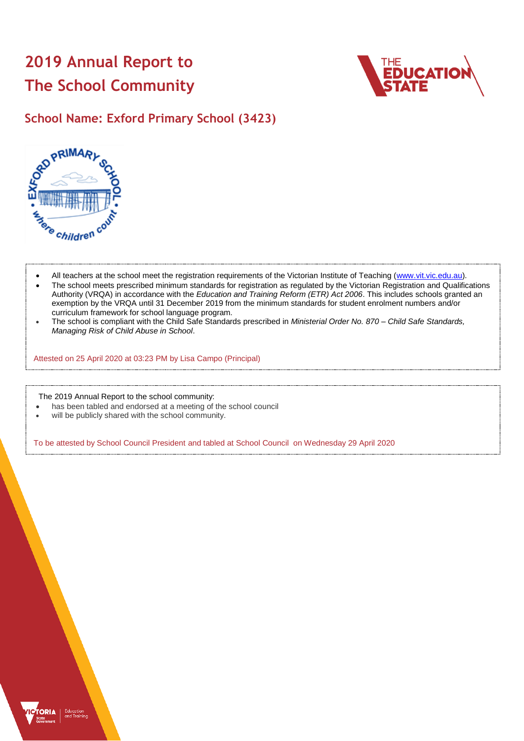# **2019 Annual Report to The School Community**



# **School Name: Exford Primary School (3423)**



- All teachers at the school meet the registration requirements of the Victorian Institute of Teaching [\(www.vit.vic.edu.au\)](https://www.vit.vic.edu.au/).
- The school meets prescribed minimum standards for registration as regulated by the Victorian Registration and Qualifications Authority (VRQA) in accordance with the *Education and Training Reform (ETR) Act 2006*. This includes schools granted an exemption by the VRQA until 31 December 2019 from the minimum standards for student enrolment numbers and/or curriculum framework for school language program.
- The school is compliant with the Child Safe Standards prescribed in *Ministerial Order No. 870 – Child Safe Standards, Managing Risk of Child Abuse in School*.

Attested on 25 April 2020 at 03:23 PM by Lisa Campo (Principal)

The 2019 Annual Report to the school community:

- has been tabled and endorsed at a meeting of the school council
- will be publicly shared with the school community.

To be attested by School Council President and tabled at School Council on Wednesday 29 April 2020

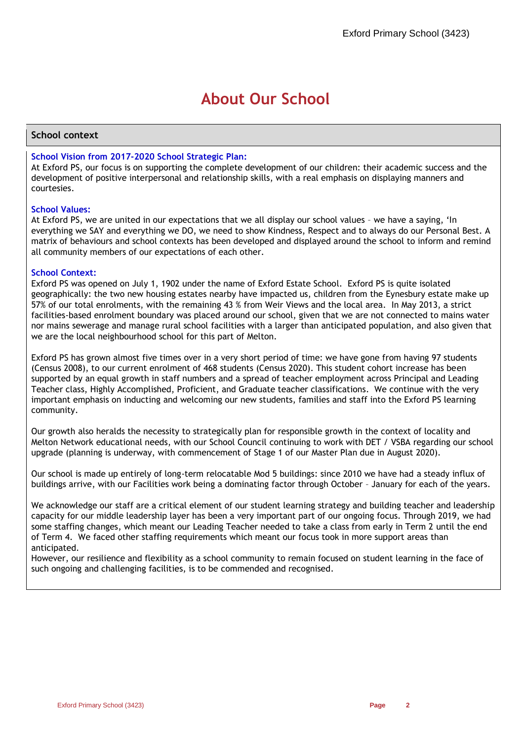# **About Our School**

## **School context**

## **School Vision from 2017-2020 School Strategic Plan:**

At Exford PS, our focus is on supporting the complete development of our children: their academic success and the development of positive interpersonal and relationship skills, with a real emphasis on displaying manners and courtesies.

## **School Values:**

At Exford PS, we are united in our expectations that we all display our school values – we have a saying, 'In everything we SAY and everything we DO, we need to show Kindness, Respect and to always do our Personal Best. A matrix of behaviours and school contexts has been developed and displayed around the school to inform and remind all community members of our expectations of each other.

## **School Context:**

Exford PS was opened on July 1, 1902 under the name of Exford Estate School. Exford PS is quite isolated geographically: the two new housing estates nearby have impacted us, children from the Eynesbury estate make up 57% of our total enrolments, with the remaining 43 % from Weir Views and the local area. In May 2013, a strict facilities-based enrolment boundary was placed around our school, given that we are not connected to mains water nor mains sewerage and manage rural school facilities with a larger than anticipated population, and also given that we are the local neighbourhood school for this part of Melton.

Exford PS has grown almost five times over in a very short period of time: we have gone from having 97 students (Census 2008), to our current enrolment of 468 students (Census 2020). This student cohort increase has been supported by an equal growth in staff numbers and a spread of teacher employment across Principal and Leading Teacher class, Highly Accomplished, Proficient, and Graduate teacher classifications. We continue with the very important emphasis on inducting and welcoming our new students, families and staff into the Exford PS learning community.

Our growth also heralds the necessity to strategically plan for responsible growth in the context of locality and Melton Network educational needs, with our School Council continuing to work with DET / VSBA regarding our school upgrade (planning is underway, with commencement of Stage 1 of our Master Plan due in August 2020).

Our school is made up entirely of long-term relocatable Mod 5 buildings: since 2010 we have had a steady influx of buildings arrive, with our Facilities work being a dominating factor through October – January for each of the years.

We acknowledge our staff are a critical element of our student learning strategy and building teacher and leadership capacity for our middle leadership layer has been a very important part of our ongoing focus. Through 2019, we had some staffing changes, which meant our Leading Teacher needed to take a class from early in Term 2 until the end of Term 4. We faced other staffing requirements which meant our focus took in more support areas than anticipated.

However, our resilience and flexibility as a school community to remain focused on student learning in the face of such ongoing and challenging facilities, is to be commended and recognised.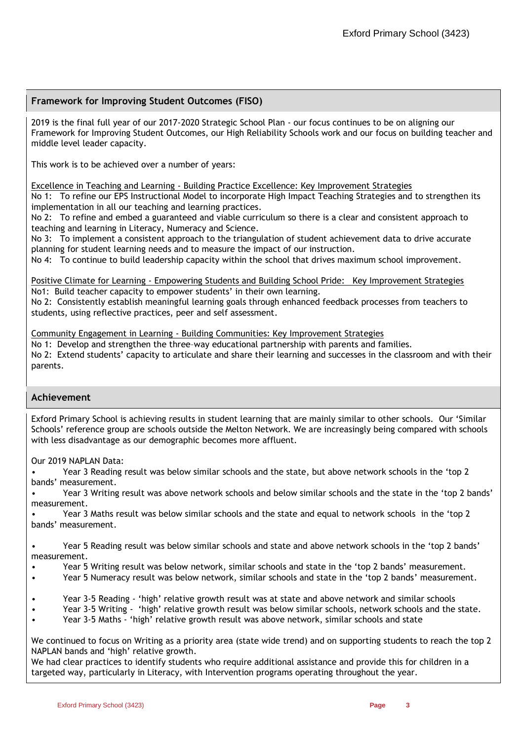## **Framework for Improving Student Outcomes (FISO)**

2019 is the final full year of our 2017-2020 Strategic School Plan - our focus continues to be on aligning our Framework for Improving Student Outcomes, our High Reliability Schools work and our focus on building teacher and middle level leader capacity.

This work is to be achieved over a number of years:

Excellence in Teaching and Learning - Building Practice Excellence: Key Improvement Strategies

No 1: To refine our EPS Instructional Model to incorporate High Impact Teaching Strategies and to strengthen its implementation in all our teaching and learning practices.

No 2: To refine and embed a guaranteed and viable curriculum so there is a clear and consistent approach to teaching and learning in Literacy, Numeracy and Science.

No 3: To implement a consistent approach to the triangulation of student achievement data to drive accurate planning for student learning needs and to measure the impact of our instruction.

No 4: To continue to build leadership capacity within the school that drives maximum school improvement.

Positive Climate for Learning - Empowering Students and Building School Pride: Key Improvement Strategies No1: Build teacher capacity to empower students' in their own learning.

No 2: Consistently establish meaningful learning goals through enhanced feedback processes from teachers to students, using reflective practices, peer and self assessment.

Community Engagement in Learning - Building Communities: Key Improvement Strategies

No 1: Develop and strengthen the three–way educational partnership with parents and families. No 2: Extend students' capacity to articulate and share their learning and successes in the classroom and with their parents.

## **Achievement**

Exford Primary School is achieving results in student learning that are mainly similar to other schools. Our 'Similar Schools' reference group are schools outside the Melton Network. We are increasingly being compared with schools with less disadvantage as our demographic becomes more affluent.

Our 2019 NAPLAN Data:

• Year 3 Reading result was below similar schools and the state, but above network schools in the 'top 2 bands' measurement.

• Year 3 Writing result was above network schools and below similar schools and the state in the 'top 2 bands' measurement.

• Year 3 Maths result was below similar schools and the state and equal to network schools in the 'top 2 bands' measurement.

• Year 5 Reading result was below similar schools and state and above network schools in the 'top 2 bands' measurement.

- Year 5 Writing result was below network, similar schools and state in the 'top 2 bands' measurement.
- Year 5 Numeracy result was below network, similar schools and state in the 'top 2 bands' measurement.
- Year 3-5 Reading 'high' relative growth result was at state and above network and similar schools
- Year 3-5 Writing 'high' relative growth result was below similar schools, network schools and the state.
- Year 3-5 Maths 'high' relative growth result was above network, similar schools and state

We continued to focus on Writing as a priority area (state wide trend) and on supporting students to reach the top 2 NAPLAN bands and 'high' relative growth.

We had clear practices to identify students who require additional assistance and provide this for children in a targeted way, particularly in Literacy, with Intervention programs operating throughout the year.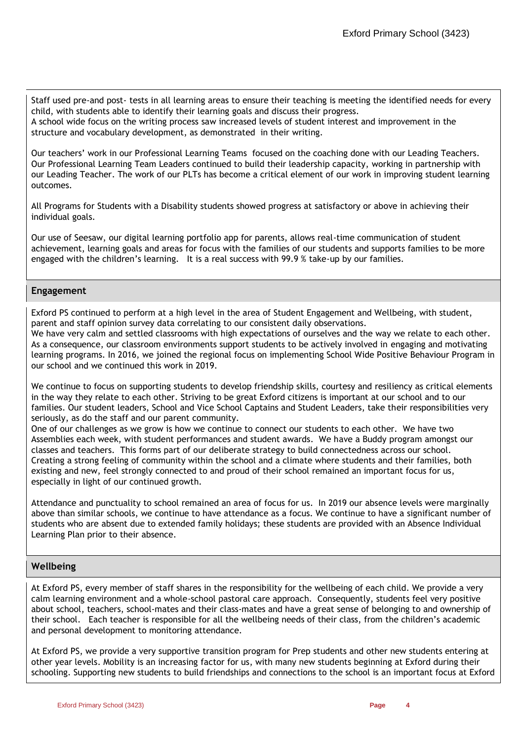Staff used pre-and post- tests in all learning areas to ensure their teaching is meeting the identified needs for every child, with students able to identify their learning goals and discuss their progress. A school wide focus on the writing process saw increased levels of student interest and improvement in the structure and vocabulary development, as demonstrated in their writing.

Our teachers' work in our Professional Learning Teams focused on the coaching done with our Leading Teachers. Our Professional Learning Team Leaders continued to build their leadership capacity, working in partnership with our Leading Teacher. The work of our PLTs has become a critical element of our work in improving student learning outcomes.

All Programs for Students with a Disability students showed progress at satisfactory or above in achieving their individual goals.

Our use of Seesaw, our digital learning portfolio app for parents, allows real-time communication of student achievement, learning goals and areas for focus with the families of our students and supports families to be more engaged with the children's learning. It is a real success with 99.9 % take-up by our families.

## **Engagement**

Exford PS continued to perform at a high level in the area of Student Engagement and Wellbeing, with student, parent and staff opinion survey data correlating to our consistent daily observations.

We have very calm and settled classrooms with high expectations of ourselves and the way we relate to each other. As a consequence, our classroom environments support students to be actively involved in engaging and motivating learning programs. In 2016, we joined the regional focus on implementing School Wide Positive Behaviour Program in our school and we continued this work in 2019.

We continue to focus on supporting students to develop friendship skills, courtesy and resiliency as critical elements in the way they relate to each other. Striving to be great Exford citizens is important at our school and to our families. Our student leaders, School and Vice School Captains and Student Leaders, take their responsibilities very seriously, as do the staff and our parent community.

One of our challenges as we grow is how we continue to connect our students to each other. We have two Assemblies each week, with student performances and student awards. We have a Buddy program amongst our classes and teachers. This forms part of our deliberate strategy to build connectedness across our school. Creating a strong feeling of community within the school and a climate where students and their families, both existing and new, feel strongly connected to and proud of their school remained an important focus for us, especially in light of our continued growth.

Attendance and punctuality to school remained an area of focus for us. In 2019 our absence levels were marginally above than similar schools, we continue to have attendance as a focus. We continue to have a significant number of students who are absent due to extended family holidays; these students are provided with an Absence Individual Learning Plan prior to their absence.

## **Wellbeing**

At Exford PS, every member of staff shares in the responsibility for the wellbeing of each child. We provide a very calm learning environment and a whole-school pastoral care approach. Consequently, students feel very positive about school, teachers, school-mates and their class-mates and have a great sense of belonging to and ownership of their school. Each teacher is responsible for all the wellbeing needs of their class, from the children's academic and personal development to monitoring attendance.

At Exford PS, we provide a very supportive transition program for Prep students and other new students entering at other year levels. Mobility is an increasing factor for us, with many new students beginning at Exford during their schooling. Supporting new students to build friendships and connections to the school is an important focus at Exford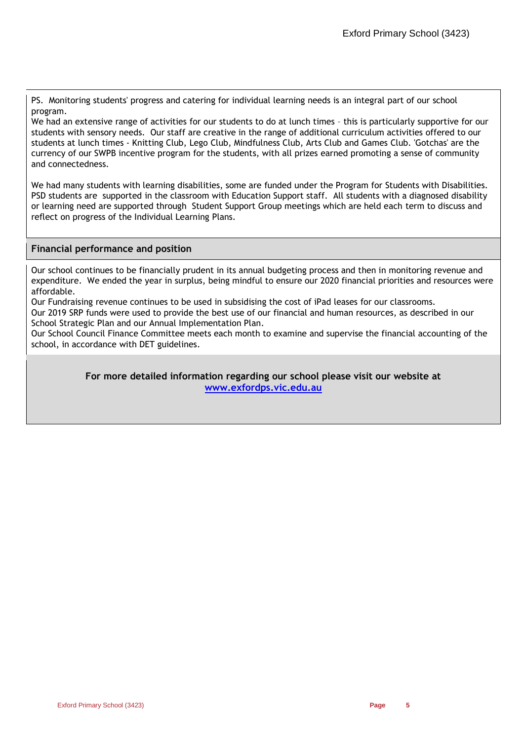PS. Monitoring students' progress and catering for individual learning needs is an integral part of our school program.

We had an extensive range of activities for our students to do at lunch times – this is particularly supportive for our students with sensory needs. Our staff are creative in the range of additional curriculum activities offered to our students at lunch times - Knitting Club, Lego Club, Mindfulness Club, Arts Club and Games Club. 'Gotchas' are the currency of our SWPB incentive program for the students, with all prizes earned promoting a sense of community and connectedness.

We had many students with learning disabilities, some are funded under the Program for Students with Disabilities. PSD students are supported in the classroom with Education Support staff. All students with a diagnosed disability or learning need are supported through Student Support Group meetings which are held each term to discuss and reflect on progress of the Individual Learning Plans.

## **Financial performance and position**

Our school continues to be financially prudent in its annual budgeting process and then in monitoring revenue and expenditure. We ended the year in surplus, being mindful to ensure our 2020 financial priorities and resources were affordable.

Our Fundraising revenue continues to be used in subsidising the cost of iPad leases for our classrooms.

Our 2019 SRP funds were used to provide the best use of our financial and human resources, as described in our School Strategic Plan and our Annual Implementation Plan.

Our School Council Finance Committee meets each month to examine and supervise the financial accounting of the school, in accordance with DET guidelines.

> **For more detailed information regarding our school please visit our website at [www.exfordps.vic.edu.au](file:///C:/Users/02100768/AppData/Local/Microsoft/Windows/INetCache/IE/5315MMF9/www.exfordps.vic.edu.au)**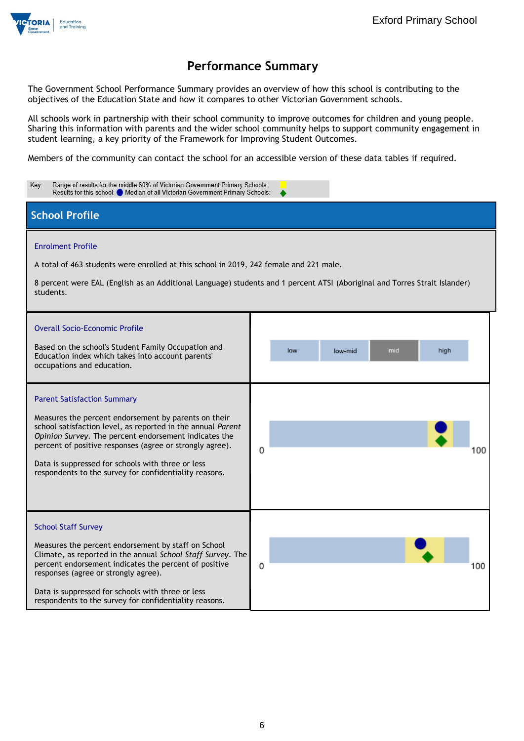

The Government School Performance Summary provides an overview of how this school is contributing to the objectives of the Education State and how it compares to other Victorian Government schools.

All schools work in partnership with their school community to improve outcomes for children and young people. Sharing this information with parents and the wider school community helps to support community engagement in student learning, a key priority of the Framework for Improving Student Outcomes.

Members of the community can contact the school for an accessible version of these data tables if required.

| Key:<br>Range of results for the middle 60% of Victorian Government Primary Schools:<br>Results for this school: Median of all Victorian Government Primary Schools:                                                                     |                               |  |  |  |  |
|------------------------------------------------------------------------------------------------------------------------------------------------------------------------------------------------------------------------------------------|-------------------------------|--|--|--|--|
| <b>School Profile</b>                                                                                                                                                                                                                    |                               |  |  |  |  |
| <b>Enrolment Profile</b>                                                                                                                                                                                                                 |                               |  |  |  |  |
| A total of 463 students were enrolled at this school in 2019, 242 female and 221 male.                                                                                                                                                   |                               |  |  |  |  |
| 8 percent were EAL (English as an Additional Language) students and 1 percent ATSI (Aboriginal and Torres Strait Islander)<br>students.                                                                                                  |                               |  |  |  |  |
| <b>Overall Socio-Economic Profile</b>                                                                                                                                                                                                    |                               |  |  |  |  |
| Based on the school's Student Family Occupation and<br>Education index which takes into account parents'<br>occupations and education.                                                                                                   | low<br>mid<br>high<br>low-mid |  |  |  |  |
| <b>Parent Satisfaction Summary</b>                                                                                                                                                                                                       |                               |  |  |  |  |
| Measures the percent endorsement by parents on their<br>school satisfaction level, as reported in the annual Parent<br>Opinion Survey. The percent endorsement indicates the<br>percent of positive responses (agree or strongly agree). | 0                             |  |  |  |  |
| Data is suppressed for schools with three or less<br>respondents to the survey for confidentiality reasons.                                                                                                                              |                               |  |  |  |  |
|                                                                                                                                                                                                                                          |                               |  |  |  |  |
| <b>School Staff Survey</b>                                                                                                                                                                                                               |                               |  |  |  |  |
| Measures the percent endorsement by staff on School<br>Climate, as reported in the annual School Staff Survey. The<br>percent endorsement indicates the percent of positive                                                              | 0<br>100                      |  |  |  |  |
| responses (agree or strongly agree).<br>Data is suppressed for schools with three or less<br>respondents to the survey for confidentiality reasons.                                                                                      |                               |  |  |  |  |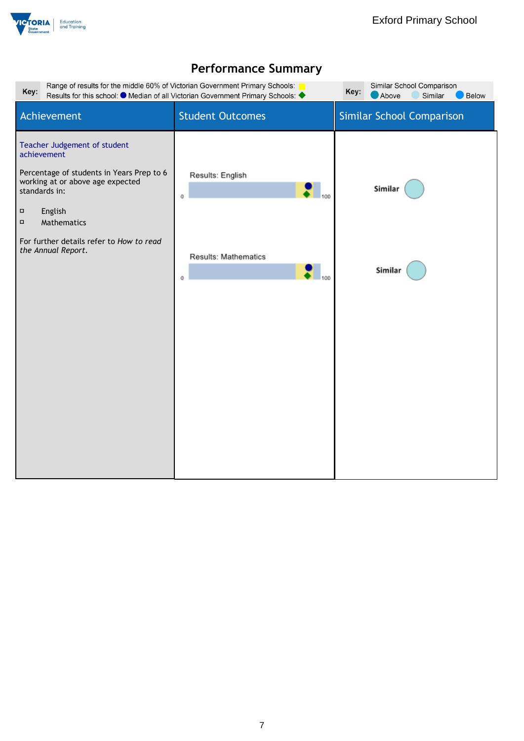

| Range of results for the middle 60% of Victorian Government Primary Schools:<br>Similar School Comparison<br>Key:<br>Key:<br>Results for this school: ● Median of all Victorian Government Primary Schools: ◆<br>Above<br>Similar<br>Below                    |                                                                                          |                           |  |  |
|---------------------------------------------------------------------------------------------------------------------------------------------------------------------------------------------------------------------------------------------------------------|------------------------------------------------------------------------------------------|---------------------------|--|--|
| Achievement                                                                                                                                                                                                                                                   | <b>Student Outcomes</b>                                                                  | Similar School Comparison |  |  |
| Teacher Judgement of student<br>achievement<br>Percentage of students in Years Prep to 6<br>working at or above age expected<br>standards in:<br>$\Box$<br>English<br>$\Box$<br>Mathematics<br>For further details refer to How to read<br>the Annual Report. | Results: English<br>100<br>$^{\circ}$<br>Results: Mathematics<br>$\mathsf{I}_{100}$<br>0 | Similar<br>Similar        |  |  |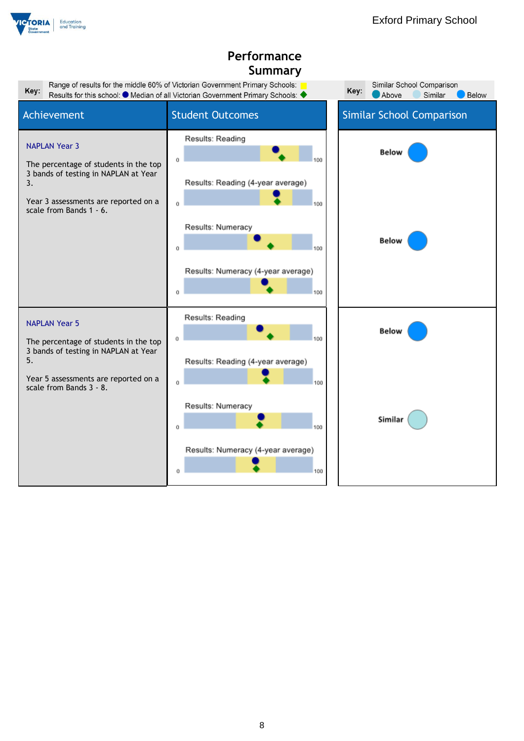

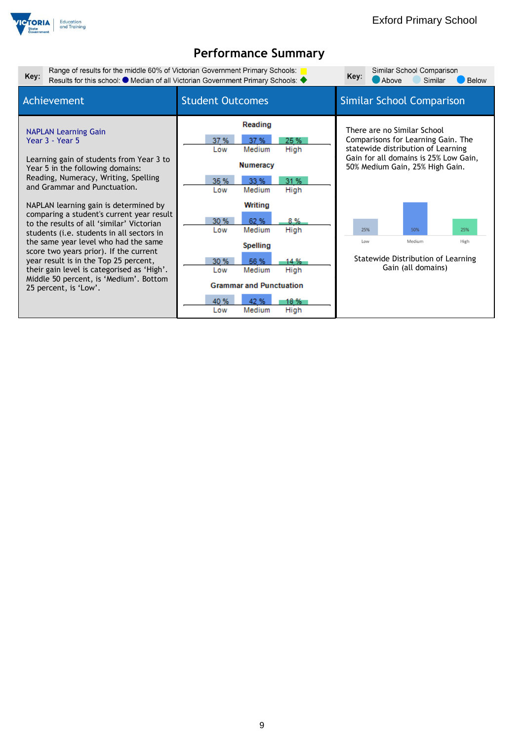

| Range of results for the middle 60% of Victorian Government Primary Schools:<br>Similar School Comparison<br>Key:<br>Key:<br>Results for this school: ● Median of all Victorian Government Primary Schools: ◆<br>Above<br>Similar<br><b>Below</b>                                                                                                                                                                                                                                                                                                                                                                                  |                                                                                                                                                                                                                                                                                                            |                                                                                                                                                                                                                                                                                               |  |  |
|------------------------------------------------------------------------------------------------------------------------------------------------------------------------------------------------------------------------------------------------------------------------------------------------------------------------------------------------------------------------------------------------------------------------------------------------------------------------------------------------------------------------------------------------------------------------------------------------------------------------------------|------------------------------------------------------------------------------------------------------------------------------------------------------------------------------------------------------------------------------------------------------------------------------------------------------------|-----------------------------------------------------------------------------------------------------------------------------------------------------------------------------------------------------------------------------------------------------------------------------------------------|--|--|
| Achievement                                                                                                                                                                                                                                                                                                                                                                                                                                                                                                                                                                                                                        | <b>Student Outcomes</b>                                                                                                                                                                                                                                                                                    | <b>Similar School Comparison</b>                                                                                                                                                                                                                                                              |  |  |
| <b>NAPLAN Learning Gain</b><br>Year 3 - Year 5<br>Learning gain of students from Year 3 to<br>Year 5 in the following domains:<br>Reading, Numeracy, Writing, Spelling<br>and Grammar and Punctuation.<br>NAPLAN learning gain is determined by<br>comparing a student's current year result<br>to the results of all 'similar' Victorian<br>students (i.e. students in all sectors in<br>the same year level who had the same<br>score two years prior). If the current<br>year result is in the Top 25 percent,<br>their gain level is categorised as 'High'.<br>Middle 50 percent, is 'Medium'. Bottom<br>25 percent, is 'Low'. | Reading<br>37%<br>25 %<br>37%<br>High<br>Medium<br>Low<br>Numeracy<br>31%<br>35 %<br>33 %<br>High<br>Medium<br>Low<br>Writing<br>30 %<br>62 %<br>8%<br>Medium<br>High<br>Low<br><b>Spelling</b><br>30 %<br>56 %<br>14 %<br>Medium<br>High<br>Low<br><b>Grammar and Punctuation</b><br>40 %<br>42 %<br>18 % | There are no Similar School<br>Comparisons for Learning Gain. The<br>statewide distribution of Learning<br>Gain for all domains is 25% Low Gain,<br>50% Medium Gain, 25% High Gain.<br>25%<br>50%<br>25%<br>Medium<br>Low<br>High<br>Statewide Distribution of Learning<br>Gain (all domains) |  |  |
|                                                                                                                                                                                                                                                                                                                                                                                                                                                                                                                                                                                                                                    | Medium<br>High<br>Low                                                                                                                                                                                                                                                                                      |                                                                                                                                                                                                                                                                                               |  |  |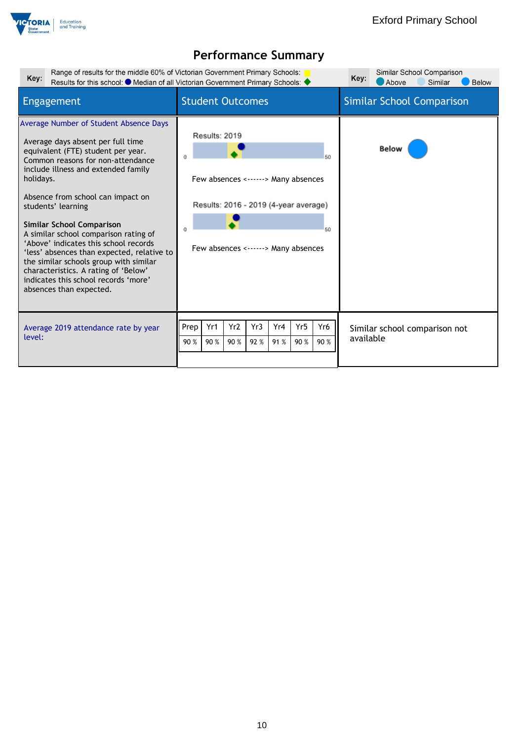

| Range of results for the middle 60% of Victorian Government Primary Schools:<br>Key:                                                                                                                                                                                                                                                                                                                                                                                                                                                                                                           | Results for this school: $\bullet$ Median of all Victorian Government Primary Schools:                                                           | Similar School Comparison<br>Key:<br>Above<br>Similar<br><b>Below</b> |
|------------------------------------------------------------------------------------------------------------------------------------------------------------------------------------------------------------------------------------------------------------------------------------------------------------------------------------------------------------------------------------------------------------------------------------------------------------------------------------------------------------------------------------------------------------------------------------------------|--------------------------------------------------------------------------------------------------------------------------------------------------|-----------------------------------------------------------------------|
| Engagement                                                                                                                                                                                                                                                                                                                                                                                                                                                                                                                                                                                     | <b>Student Outcomes</b>                                                                                                                          | <b>Similar School Comparison</b>                                      |
| Average Number of Student Absence Days<br>Average days absent per full time<br>equivalent (FTE) student per year.<br>Common reasons for non-attendance<br>include illness and extended family<br>holidays.<br>Absence from school can impact on<br>students' learning<br><b>Similar School Comparison</b><br>A similar school comparison rating of<br>'Above' indicates this school records<br>'less' absences than expected, relative to<br>the similar schools group with similar<br>characteristics. A rating of 'Below'<br>indicates this school records 'more'<br>absences than expected. | Results: 2019<br>50<br>Few absences <------> Many absences<br>Results: 2016 - 2019 (4-year average)<br>50<br>Few absences <------> Many absences | <b>Below</b>                                                          |
| Average 2019 attendance rate by year<br>level:                                                                                                                                                                                                                                                                                                                                                                                                                                                                                                                                                 | Yr2<br>Yr3<br>Yr4<br>Yr5<br>Yr6<br>Prep<br>Yr1<br>90 %<br>90 %<br>91 %<br>90 %<br>90 %<br>92 %<br>90 %                                           | Similar school comparison not<br>available                            |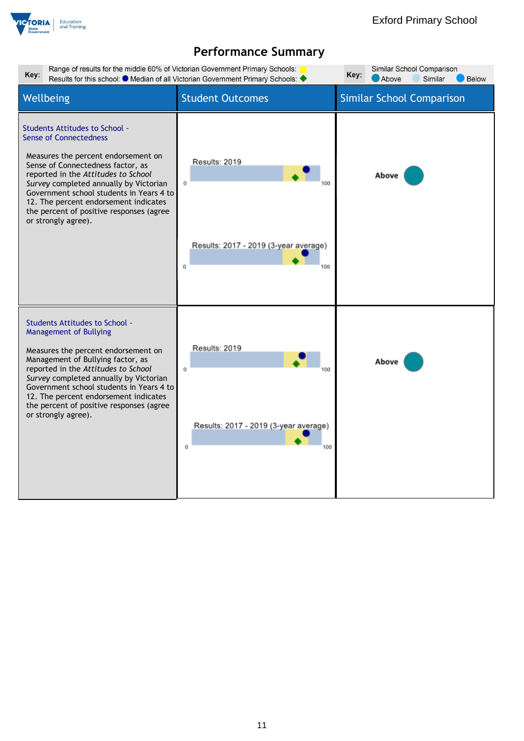

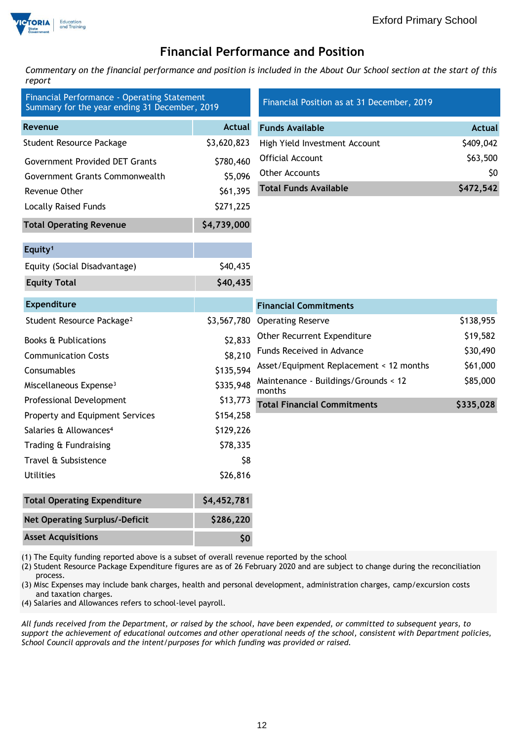

## **Financial Performance and Position**

*Commentary on the financial performance and position is included in the About Our School section at the start of this report*

| Financial Performance - Operating Statement<br>Summary for the year ending 31 December, 2019 |               | Financial Position as at 31 December, 2019     |               |
|----------------------------------------------------------------------------------------------|---------------|------------------------------------------------|---------------|
| Revenue                                                                                      | <b>Actual</b> | <b>Funds Available</b>                         | <b>Actual</b> |
| <b>Student Resource Package</b>                                                              | \$3,620,823   | High Yield Investment Account                  | \$409,042     |
| <b>Government Provided DET Grants</b>                                                        | \$780,460     | Official Account                               | \$63,500      |
| Government Grants Commonwealth                                                               | \$5,096       | Other Accounts                                 | \$0           |
| Revenue Other                                                                                | \$61,395      | <b>Total Funds Available</b>                   | \$472,542     |
| <b>Locally Raised Funds</b>                                                                  | \$271,225     |                                                |               |
| <b>Total Operating Revenue</b>                                                               | \$4,739,000   |                                                |               |
| Equity <sup>1</sup>                                                                          |               |                                                |               |
| Equity (Social Disadvantage)                                                                 | \$40,435      |                                                |               |
| <b>Equity Total</b>                                                                          | \$40,435      |                                                |               |
| <b>Expenditure</b>                                                                           |               | <b>Financial Commitments</b>                   |               |
| Student Resource Package <sup>2</sup>                                                        | \$3,567,780   | <b>Operating Reserve</b>                       | \$138,955     |
| <b>Books &amp; Publications</b>                                                              | \$2,833       | Other Recurrent Expenditure                    | \$19,582      |
| <b>Communication Costs</b>                                                                   | \$8,210       | Funds Received in Advance                      | \$30,490      |
| Consumables                                                                                  | \$135,594     | Asset/Equipment Replacement < 12 months        | \$61,000      |
| Miscellaneous Expense <sup>3</sup>                                                           | \$335,948     | Maintenance - Buildings/Grounds < 12<br>months | \$85,000      |
| Professional Development                                                                     | \$13,773      | <b>Total Financial Commitments</b>             | \$335,028     |
| Property and Equipment Services                                                              | \$154,258     |                                                |               |
| Salaries & Allowances <sup>4</sup>                                                           | \$129,226     |                                                |               |
| Trading & Fundraising                                                                        | \$78,335      |                                                |               |
| Travel & Subsistence                                                                         | \$8           |                                                |               |
| <b>Utilities</b>                                                                             | \$26,816      |                                                |               |
| <b>Total Operating Expenditure</b>                                                           | \$4,452,781   |                                                |               |
| <b>Net Operating Surplus/-Deficit</b>                                                        | \$286,220     |                                                |               |
| <b>Asset Acquisitions</b>                                                                    | \$0           |                                                |               |

(1) The Equity funding reported above is a subset of overall revenue reported by the school

(2) Student Resource Package Expenditure figures are as of 26 February 2020 and are subject to change during the reconciliation process.

(3) Misc Expenses may include bank charges, health and personal development, administration charges, camp/excursion costs and taxation charges.

(4) Salaries and Allowances refers to school-level payroll.

*All funds received from the Department, or raised by the school, have been expended, or committed to subsequent years, to support the achievement of educational outcomes and other operational needs of the school, consistent with Department policies, School Council approvals and the intent/purposes for which funding was provided or raised.*